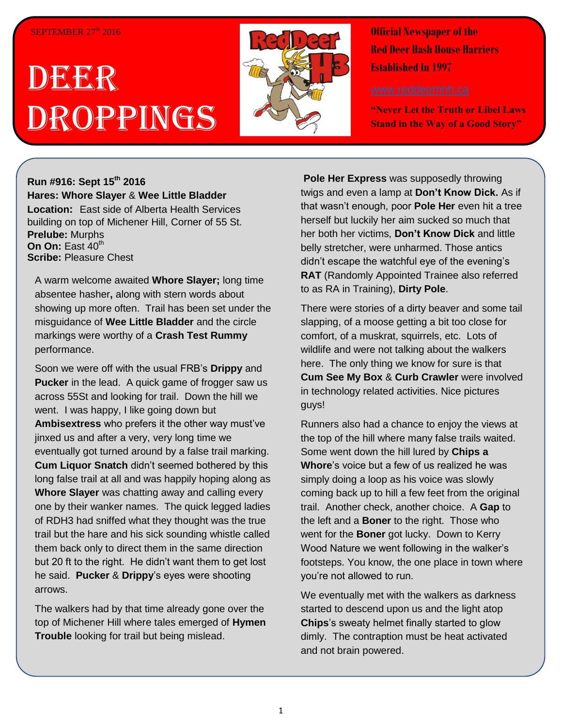## SEPTEMBER  $27<sup>th</sup>$  2016

## DEER Droppings



**Official Newspaper of the Red Deer Hash House Harriers Established In 1997** 

**"Never Let the Truth or Libel Laws Stand in the Way of a Good Story"**

## **Run #916: Sept 15th 2016 Hares: Whore Slayer** & **Wee Little Bladder Location:** East side of Alberta Health Services building on top of Michener Hill, Corner of 55 St.

**Prelube:** Murphs **On On: East 40th Scribe: Pleasure Chest** 

A warm welcome awaited **Whore Slayer;** long time absentee hasher**,** along with stern words about showing up more often. Trail has been set under the misguidance of **Wee Little Bladder** and the circle markings were worthy of a **Crash Test Rummy** performance.

Soon we were off with the usual FRB's **Drippy** and **Pucker** in the lead. A quick game of frogger saw us across 55St and looking for trail. Down the hill we went. I was happy, I like going down but **Ambisextress** who prefers it the other way must've jinxed us and after a very, very long time we eventually got turned around by a false trail marking. **Cum Liquor Snatch** didn't seemed bothered by this long false trail at all and was happily hoping along as **Whore Slayer** was chatting away and calling every one by their wanker names. The quick legged ladies of RDH3 had sniffed what they thought was the true trail but the hare and his sick sounding whistle called them back only to direct them in the same direction but 20 ft to the right. He didn't want them to get lost he said. **Pucker** & **Drippy**'s eyes were shooting arrows.

The walkers had by that time already gone over the top of Michener Hill where tales emerged of **Hymen Trouble** looking for trail but being mislead.

**Pole Her Express** was supposedly throwing twigs and even a lamp at **Don't Know Dick.** As if that wasn't enough, poor **Pole Her** even hit a tree herself but luckily her aim sucked so much that her both her victims, **Don't Know Dick** and little belly stretcher, were unharmed. Those antics didn't escape the watchful eye of the evening's **RAT** (Randomly Appointed Trainee also referred to as RA in Training), **Dirty Pole**.

There were stories of a dirty beaver and some tail slapping, of a moose getting a bit too close for comfort, of a muskrat, squirrels, etc. Lots of wildlife and were not talking about the walkers here. The only thing we know for sure is that **Cum See My Box** & **Curb Crawler** were involved in technology related activities. Nice pictures guys!

Runners also had a chance to enjoy the views at the top of the hill where many false trails waited. Some went down the hill lured by **Chips a Whore**'s voice but a few of us realized he was simply doing a loop as his voice was slowly coming back up to hill a few feet from the original trail. Another check, another choice. A **Gap** to the left and a **Boner** to the right. Those who went for the **Boner** got lucky. Down to Kerry Wood Nature we went following in the walker's footsteps. You know, the one place in town where you're not allowed to run.

We eventually met with the walkers as darkness started to descend upon us and the light atop **Chips**'s sweaty helmet finally started to glow dimly. The contraption must be heat activated and not brain powered.